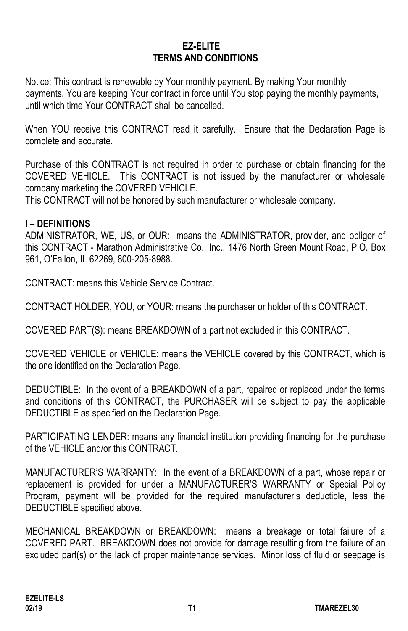### **EZ-ELITE TERMS AND CONDITIONS**

Notice: This contract is renewable by Your monthly payment. By making Your monthly payments, You are keeping Your contract in force until You stop paying the monthly payments, until which time Your CONTRACT shall be cancelled.

When YOU receive this CONTRACT read it carefully. Ensure that the Declaration Page is complete and accurate.

Purchase of this CONTRACT is not required in order to purchase or obtain financing for the COVERED VEHICLE. This CONTRACT is not issued by the manufacturer or wholesale company marketing the COVERED VEHICLE.

This CONTRACT will not be honored by such manufacturer or wholesale company.

#### **I – DEFINITIONS**

ADMINISTRATOR, WE, US, or OUR: means the ADMINISTRATOR, provider, and obligor of this CONTRACT - Marathon Administrative Co., Inc., 1476 North Green Mount Road, P.O. Box 961, O'Fallon, IL 62269, 800-205-8988.

CONTRACT: means this Vehicle Service Contract.

CONTRACT HOLDER, YOU, or YOUR: means the purchaser or holder of this CONTRACT.

COVERED PART(S): means BREAKDOWN of a part not excluded in this CONTRACT.

COVERED VEHICLE or VEHICLE: means the VEHICLE covered by this CONTRACT, which is the one identified on the Declaration Page.

DEDUCTIBLE: In the event of a BREAKDOWN of a part, repaired or replaced under the terms and conditions of this CONTRACT, the PURCHASER will be subject to pay the applicable DEDUCTIBLE as specified on the Declaration Page.

PARTICIPATING LENDER: means any financial institution providing financing for the purchase of the VEHICLE and/or this CONTRACT.

MANUFACTURER'S WARRANTY: In the event of a BREAKDOWN of a part, whose repair or replacement is provided for under a MANUFACTURER'S WARRANTY or Special Policy Program, payment will be provided for the required manufacturer's deductible, less the DEDUCTIBLE specified above.

MECHANICAL BREAKDOWN or BREAKDOWN: means a breakage or total failure of a COVERED PART. BREAKDOWN does not provide for damage resulting from the failure of an excluded part(s) or the lack of proper maintenance services. Minor loss of fluid or seepage is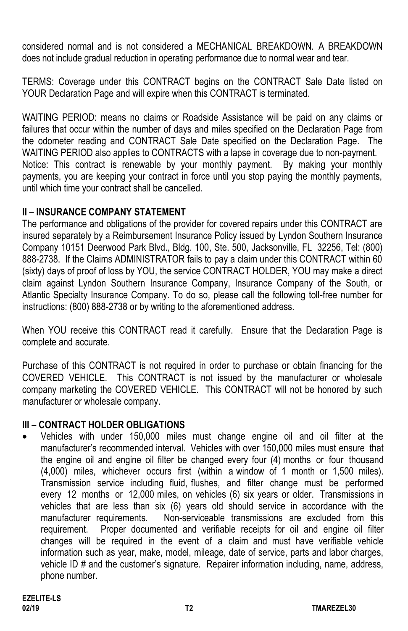considered normal and is not considered a MECHANICAL BREAKDOWN. A BREAKDOWN does not include gradual reduction in operating performance due to normal wear and tear.

TERMS: Coverage under this CONTRACT begins on the CONTRACT Sale Date listed on YOUR Declaration Page and will expire when this CONTRACT is terminated.

WAITING PERIOD: means no claims or Roadside Assistance will be paid on any claims or failures that occur within the number of days and miles specified on the Declaration Page from the odometer reading and CONTRACT Sale Date specified on the Declaration Page. The WAITING PERIOD also applies to CONTRACTS with a lapse in coverage due to non-payment. Notice: This contract is renewable by your monthly payment. By making your monthly payments, you are keeping your contract in force until you stop paying the monthly payments, until which time your contract shall be cancelled.

# **II – INSURANCE COMPANY STATEMENT**

The performance and obligations of the provider for covered repairs under this CONTRACT are insured separately by a Reimbursement Insurance Policy issued by Lyndon Southern Insurance Company 10151 Deerwood Park Blvd., Bldg. 100, Ste. 500, Jacksonville, FL 32256, Tel: (800) 888-2738. If the Claims ADMINISTRATOR fails to pay a claim under this CONTRACT within 60 (sixty) days of proof of loss by YOU, the service CONTRACT HOLDER, YOU may make a direct claim against Lyndon Southern Insurance Company, Insurance Company of the South, or Atlantic Specialty Insurance Company. To do so, please call the following toll-free number for instructions: (800) 888-2738 or by writing to the aforementioned address.

When YOU receive this CONTRACT read it carefully. Ensure that the Declaration Page is complete and accurate.

Purchase of this CONTRACT is not required in order to purchase or obtain financing for the COVERED VEHICLE. This CONTRACT is not issued by the manufacturer or wholesale company marketing the COVERED VEHICLE. This CONTRACT will not be honored by such manufacturer or wholesale company.

# **III – CONTRACT HOLDER OBLIGATIONS**

• Vehicles with under 150,000 miles must change engine oil and oil filter at the manufacturer's recommended interval. Vehicles with over 150,000 miles must ensure that the engine oil and engine oil filter be changed every four (4) months or four thousand (4,000) miles, whichever occurs first (within a window of 1 month or 1,500 miles). Transmission service including fluid, flushes, and filter change must be performed every 12 months or 12,000 miles, on vehicles (6) six years or older. Transmissions in vehicles that are less than six (6) years old should service in accordance with the manufacturer requirements. Non-serviceable transmissions are excluded from this requirement. Proper documented and verifiable receipts for oil and engine oil filter changes will be required in the event of a claim and must have verifiable vehicle information such as year, make, model, mileage, date of service, parts and labor charges, vehicle ID # and the customer's signature. Repairer information including, name, address, phone number.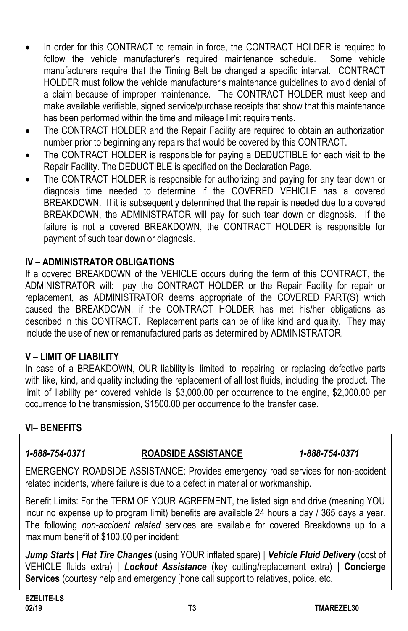- In order for this CONTRACT to remain in force, the CONTRACT HOLDER is required to follow the vehicle manufacturer's required maintenance schedule. Some vehicle manufacturers require that the Timing Belt be changed a specific interval. CONTRACT HOLDER must follow the vehicle manufacturer's maintenance guidelines to avoid denial of a claim because of improper maintenance. The CONTRACT HOLDER must keep and make available verifiable, signed service/purchase receipts that show that this maintenance has been performed within the time and mileage limit requirements.
- The CONTRACT HOLDER and the Repair Facility are required to obtain an authorization number prior to beginning any repairs that would be covered by this CONTRACT.
- The CONTRACT HOLDER is responsible for paying a DEDUCTIBLE for each visit to the Repair Facility. The DEDUCTIBLE is specified on the Declaration Page.
- The CONTRACT HOLDER is responsible for authorizing and paying for any tear down or diagnosis time needed to determine if the COVERED VEHICLE has a covered BREAKDOWN. If it is subsequently determined that the repair is needed due to a covered BREAKDOWN, the ADMINISTRATOR will pay for such tear down or diagnosis. If the failure is not a covered BREAKDOWN, the CONTRACT HOLDER is responsible for payment of such tear down or diagnosis.

### **IV – ADMINISTRATOR OBLIGATIONS**

If a covered BREAKDOWN of the VEHICLE occurs during the term of this CONTRACT, the ADMINISTRATOR will: pay the CONTRACT HOLDER or the Repair Facility for repair or replacement, as ADMINISTRATOR deems appropriate of the COVERED PART(S) which caused the BREAKDOWN, if the CONTRACT HOLDER has met his/her obligations as described in this CONTRACT. Replacement parts can be of like kind and quality. They may include the use of new or remanufactured parts as determined by ADMINISTRATOR.

# **V – LIMIT OF LIABILITY**

In case of a BREAKDOWN, OUR liability is limited to repairing or replacing defective parts with like, kind, and quality including the replacement of all lost fluids, including the product. The limit of liability per covered vehicle is \$3,000.00 per occurrence to the engine, \$2,000.00 per occurrence to the transmission, \$1500.00 per occurrence to the transfer case.

# **VI– BENEFITS**

#### *1-888-754-0371* **ROADSIDE ASSISTANCE** *1-888-754-0371*

EMERGENCY ROADSIDE ASSISTANCE: Provides emergency road services for non-accident related incidents, where failure is due to a defect in material or workmanship.

Benefit Limits: For the TERM OF YOUR AGREEMENT, the listed sign and drive (meaning YOU incur no expense up to program limit) benefits are available 24 hours a day / 365 days a year. The following *non-accident related* services are available for covered Breakdowns up to a maximum benefit of \$100.00 per incident:

*Jump Starts* | *Flat Tire Changes* (using YOUR inflated spare) | *Vehicle Fluid Delivery* (cost of VEHICLE fluids extra) | *Lockout Assistance* (key cutting/replacement extra) | **Concierge Services** (courtesy help and emergency [hone call support to relatives, police, etc.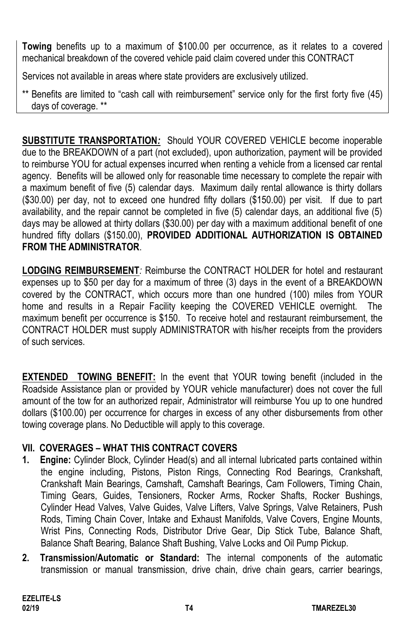**Towing** benefits up to a maximum of \$100.00 per occurrence, as it relates to a covered mechanical breakdown of the covered vehicle paid claim covered under this CONTRACT

Services not available in areas where state providers are exclusively utilized.

\*\* Benefits are limited to "cash call with reimbursement" service only for the first forty five (45) days of coverage. \*\*

**SUBSTITUTE TRANSPORTATION***:* Should YOUR COVERED VEHICLE become inoperable due to the BREAKDOWN of a part (not excluded), upon authorization, payment will be provided to reimburse YOU for actual expenses incurred when renting a vehicle from a licensed car rental agency. Benefits will be allowed only for reasonable time necessary to complete the repair with a maximum benefit of five (5) calendar days. Maximum daily rental allowance is thirty dollars (\$30.00) per day, not to exceed one hundred fifty dollars (\$150.00) per visit. If due to part availability, and the repair cannot be completed in five (5) calendar days, an additional five (5) days may be allowed at thirty dollars (\$30.00) per day with a maximum additional benefit of one hundred fifty dollars (\$150.00), **PROVIDED ADDITIONAL AUTHORIZATION IS OBTAINED FROM THE ADMINISTRATOR**.

**LODGING REIMBURSEMENT***:* Reimburse the CONTRACT HOLDER for hotel and restaurant expenses up to \$50 per day for a maximum of three (3) days in the event of a BREAKDOWN covered by the CONTRACT, which occurs more than one hundred (100) miles from YOUR home and results in a Repair Facility keeping the COVERED VEHICLE overnight. The maximum benefit per occurrence is \$150. To receive hotel and restaurant reimbursement, the CONTRACT HOLDER must supply ADMINISTRATOR with his/her receipts from the providers of such services.

**EXTENDED TOWING BENEFIT:** In the event that YOUR towing benefit (included in the Roadside Assistance plan or provided by YOUR vehicle manufacturer) does not cover the full amount of the tow for an authorized repair, Administrator will reimburse You up to one hundred dollars (\$100.00) per occurrence for charges in excess of any other disbursements from other towing coverage plans. No Deductible will apply to this coverage.

# **VII. COVERAGES – WHAT THIS CONTRACT COVERS**

- **1. Engine:** Cylinder Block, Cylinder Head(s) and all internal lubricated parts contained within the engine including, Pistons, Piston Rings, Connecting Rod Bearings, Crankshaft, Crankshaft Main Bearings, Camshaft, Camshaft Bearings, Cam Followers, Timing Chain, Timing Gears, Guides, Tensioners, Rocker Arms, Rocker Shafts, Rocker Bushings, Cylinder Head Valves, Valve Guides, Valve Lifters, Valve Springs, Valve Retainers, Push Rods, Timing Chain Cover, Intake and Exhaust Manifolds, Valve Covers, Engine Mounts, Wrist Pins, Connecting Rods, Distributor Drive Gear, Dip Stick Tube, Balance Shaft, Balance Shaft Bearing, Balance Shaft Bushing, Valve Locks and Oil Pump Pickup.
- **2. Transmission/Automatic or Standard:** The internal components of the automatic transmission or manual transmission, drive chain, drive chain gears, carrier bearings,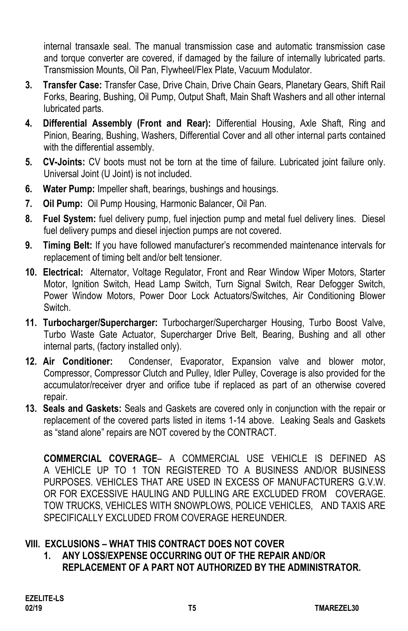internal transaxle seal. The manual transmission case and automatic transmission case and torque converter are covered, if damaged by the failure of internally lubricated parts. Transmission Mounts, Oil Pan, Flywheel/Flex Plate, Vacuum Modulator.

- **3. Transfer Case:** Transfer Case, Drive Chain, Drive Chain Gears, Planetary Gears, Shift Rail Forks, Bearing, Bushing, Oil Pump, Output Shaft, Main Shaft Washers and all other internal lubricated parts.
- **4. Differential Assembly (Front and Rear):** Differential Housing, Axle Shaft, Ring and Pinion, Bearing, Bushing, Washers, Differential Cover and all other internal parts contained with the differential assembly.
- **5. CV-Joints:** CV boots must not be torn at the time of failure. Lubricated joint failure only. Universal Joint (U Joint) is not included.
- **6. Water Pump:** Impeller shaft, bearings, bushings and housings.
- **7. Oil Pump:** Oil Pump Housing, Harmonic Balancer, Oil Pan.
- **8. Fuel System:** fuel delivery pump, fuel injection pump and metal fuel delivery lines. Diesel fuel delivery pumps and diesel injection pumps are not covered.
- **9. Timing Belt:** If you have followed manufacturer's recommended maintenance intervals for replacement of timing belt and/or belt tensioner.
- **10. Electrical:** Alternator, Voltage Regulator, Front and Rear Window Wiper Motors, Starter Motor, Ignition Switch, Head Lamp Switch, Turn Signal Switch, Rear Defogger Switch, Power Window Motors, Power Door Lock Actuators/Switches, Air Conditioning Blower **Switch**
- **11. Turbocharger/Supercharger:** Turbocharger/Supercharger Housing, Turbo Boost Valve, Turbo Waste Gate Actuator, Supercharger Drive Belt, Bearing, Bushing and all other internal parts, (factory installed only).
- **12. Air Conditioner:** Condenser, Evaporator, Expansion valve and blower motor, Compressor, Compressor Clutch and Pulley, Idler Pulley, Coverage is also provided for the accumulator/receiver dryer and orifice tube if replaced as part of an otherwise covered repair.
- **13. Seals and Gaskets:** Seals and Gaskets are covered only in conjunction with the repair or replacement of the covered parts listed in items 1-14 above. Leaking Seals and Gaskets as "stand alone" repairs are NOT covered by the CONTRACT.

**COMMERCIAL COVERAGE**– A COMMERCIAL USE VEHICLE IS DEFINED AS A VEHICLE UP TO 1 TON REGISTERED TO A BUSINESS AND/OR BUSINESS PURPOSES. VEHICLES THAT ARE USED IN EXCESS OF MANUFACTURERS G.V.W. OR FOR EXCESSIVE HAULING AND PULLING ARE EXCLUDED FROM COVERAGE. TOW TRUCKS, VEHICLES WITH SNOWPLOWS, POLICE VEHICLES, AND TAXIS ARE SPECIFICALLY EXCLUDED FROM COVERAGE HEREUNDER.

# **VIII. EXCLUSIONS – WHAT THIS CONTRACT DOES NOT COVER**

**1. ANY LOSS/EXPENSE OCCURRING OUT OF THE REPAIR AND/OR REPLACEMENT OF A PART NOT AUTHORIZED BY THE ADMINISTRATOR.**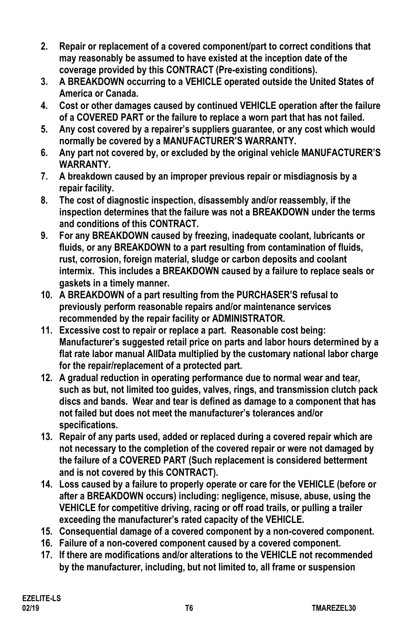- **2. Repair or replacement of a covered component/part to correct conditions that may reasonably be assumed to have existed at the inception date of the coverage provided by this CONTRACT (Pre-existing conditions).**
- **3. A BREAKDOWN occurring to a VEHICLE operated outside the United States of America or Canada.**
- **4. Cost or other damages caused by continued VEHICLE operation after the failure of a COVERED PART or the failure to replace a worn part that has not failed.**
- **5. Any cost covered by a repairer's suppliers guarantee, or any cost which would normally be covered by a MANUFACTURER'S WARRANTY.**
- **6. Any part not covered by, or excluded by the original vehicle MANUFACTURER'S WARRANTY.**
- **7. A breakdown caused by an improper previous repair or misdiagnosis by a repair facility.**
- **8. The cost of diagnostic inspection, disassembly and/or reassembly, if the inspection determines that the failure was not a BREAKDOWN under the terms and conditions of this CONTRACT.**
- **9. For any BREAKDOWN caused by freezing, inadequate coolant, lubricants or fluids, or any BREAKDOWN to a part resulting from contamination of fluids, rust, corrosion, foreign material, sludge or carbon deposits and coolant intermix. This includes a BREAKDOWN caused by a failure to replace seals or gaskets in a timely manner.**
- **10. A BREAKDOWN of a part resulting from the PURCHASER'S refusal to previously perform reasonable repairs and/or maintenance services recommended by the repair facility or ADMINISTRATOR.**
- **11. Excessive cost to repair or replace a part. Reasonable cost being: Manufacturer's suggested retail price on parts and labor hours determined by a flat rate labor manual AllData multiplied by the customary national labor charge for the repair/replacement of a protected part.**
- **12. A gradual reduction in operating performance due to normal wear and tear, such as but, not limited too guides, valves, rings, and transmission clutch pack discs and bands. Wear and tear is defined as damage to a component that has not failed but does not meet the manufacturer's tolerances and/or specifications.**
- **13. Repair of any parts used, added or replaced during a covered repair which are not necessary to the completion of the covered repair or were not damaged by the failure of a COVERED PART (Such replacement is considered betterment and is not covered by this CONTRACT).**
- **14. Loss caused by a failure to properly operate or care for the VEHICLE (before or after a BREAKDOWN occurs) including: negligence, misuse, abuse, using the VEHICLE for competitive driving, racing or off road trails, or pulling a trailer exceeding the manufacturer's rated capacity of the VEHICLE.**
- **15. Consequential damage of a covered component by a non-covered component.**
- **16. Failure of a non-covered component caused by a covered component.**
- **17. If there are modifications and/or alterations to the VEHICLE not recommended by the manufacturer, including, but not limited to, all frame or suspension**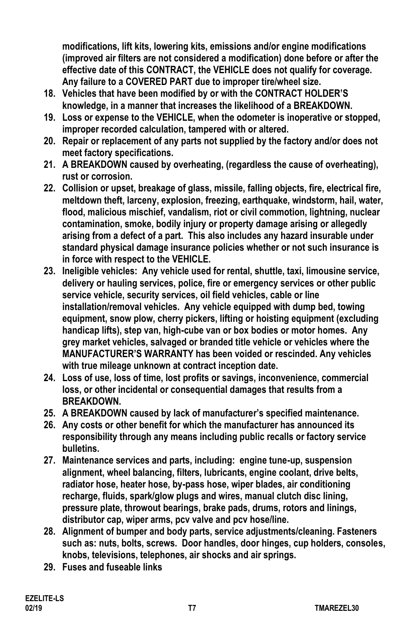**modifications, lift kits, lowering kits, emissions and/or engine modifications (improved air filters are not considered a modification) done before or after the effective date of this CONTRACT, the VEHICLE does not qualify for coverage. Any failure to a COVERED PART due to improper tire/wheel size.**

- **18. Vehicles that have been modified by or with the CONTRACT HOLDER'S knowledge, in a manner that increases the likelihood of a BREAKDOWN.**
- **19. Loss or expense to the VEHICLE, when the odometer is inoperative or stopped, improper recorded calculation, tampered with or altered.**
- **20. Repair or replacement of any parts not supplied by the factory and/or does not meet factory specifications.**
- **21. A BREAKDOWN caused by overheating, (regardless the cause of overheating), rust or corrosion.**
- **22. Collision or upset, breakage of glass, missile, falling objects, fire, electrical fire, meltdown theft, larceny, explosion, freezing, earthquake, windstorm, hail, water, flood, malicious mischief, vandalism, riot or civil commotion, lightning, nuclear contamination, smoke, bodily injury or property damage arising or allegedly arising from a defect of a part. This also includes any hazard insurable under standard physical damage insurance policies whether or not such insurance is in force with respect to the VEHICLE.**
- **23. Ineligible vehicles: Any vehicle used for rental, shuttle, taxi, limousine service, delivery or hauling services, police, fire or emergency services or other public service vehicle, security services, oil field vehicles, cable or line installation/removal vehicles. Any vehicle equipped with dump bed, towing equipment, snow plow, cherry pickers, lifting or hoisting equipment (excluding handicap lifts), step van, high-cube van or box bodies or motor homes. Any grey market vehicles, salvaged or branded title vehicle or vehicles where the MANUFACTURER'S WARRANTY has been voided or rescinded. Any vehicles with true mileage unknown at contract inception date.**
- **24. Loss of use, loss of time, lost profits or savings, inconvenience, commercial loss, or other incidental or consequential damages that results from a BREAKDOWN.**
- **25. A BREAKDOWN caused by lack of manufacturer's specified maintenance.**
- **26. Any costs or other benefit for which the manufacturer has announced its responsibility through any means including public recalls or factory service bulletins.**
- **27. Maintenance services and parts, including: engine tune-up, suspension alignment, wheel balancing, filters, lubricants, engine coolant, drive belts, radiator hose, heater hose, by-pass hose, wiper blades, air conditioning recharge, fluids, spark/glow plugs and wires, manual clutch disc lining, pressure plate, throwout bearings, brake pads, drums, rotors and linings, distributor cap, wiper arms, pcv valve and pcv hose/line.**
- **28. Alignment of bumper and body parts, service adjustments/cleaning. Fasteners such as: nuts, bolts, screws. Door handles, door hinges, cup holders, consoles, knobs, televisions, telephones, air shocks and air springs.**
- **29. Fuses and fuseable links**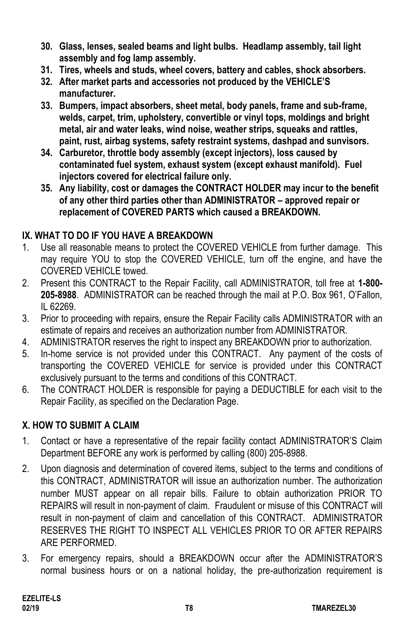- **30. Glass, lenses, sealed beams and light bulbs. Headlamp assembly, tail light assembly and fog lamp assembly.**
- **31. Tires, wheels and studs, wheel covers, battery and cables, shock absorbers.**
- **32. After market parts and accessories not produced by the VEHICLE'S manufacturer.**
- **33. Bumpers, impact absorbers, sheet metal, body panels, frame and sub-frame, welds, carpet, trim, upholstery, convertible or vinyl tops, moldings and bright metal, air and water leaks, wind noise, weather strips, squeaks and rattles, paint, rust, airbag systems, safety restraint systems, dashpad and sunvisors.**
- **34. Carburetor, throttle body assembly (except injectors), loss caused by contaminated fuel system, exhaust system (except exhaust manifold). Fuel injectors covered for electrical failure only.**
- **35. Any liability, cost or damages the CONTRACT HOLDER may incur to the benefit of any other third parties other than ADMINISTRATOR – approved repair or replacement of COVERED PARTS which caused a BREAKDOWN.**

# **IX. WHAT TO DO IF YOU HAVE A BREAKDOWN**

- 1. Use all reasonable means to protect the COVERED VEHICLE from further damage. This may require YOU to stop the COVERED VEHICLE, turn off the engine, and have the COVERED VEHICLE towed.
- 2. Present this CONTRACT to the Repair Facility, call ADMINISTRATOR, toll free at **1-800- 205-8988**. ADMINISTRATOR can be reached through the mail at P.O. Box 961, O'Fallon, IL 62269.
- 3. Prior to proceeding with repairs, ensure the Repair Facility calls ADMINISTRATOR with an estimate of repairs and receives an authorization number from ADMINISTRATOR.
- 4. ADMINISTRATOR reserves the right to inspect any BREAKDOWN prior to authorization.
- 5. In-home service is not provided under this CONTRACT. Any payment of the costs of transporting the COVERED VEHICLE for service is provided under this CONTRACT exclusively pursuant to the terms and conditions of this CONTRACT.
- 6. The CONTRACT HOLDER is responsible for paying a DEDUCTIBLE for each visit to the Repair Facility, as specified on the Declaration Page.

# **X. HOW TO SUBMIT A CLAIM**

- 1. Contact or have a representative of the repair facility contact ADMINISTRATOR'S Claim Department BEFORE any work is performed by calling (800) 205-8988.
- 2. Upon diagnosis and determination of covered items, subject to the terms and conditions of this CONTRACT, ADMINISTRATOR will issue an authorization number. The authorization number MUST appear on all repair bills. Failure to obtain authorization PRIOR TO REPAIRS will result in non-payment of claim. Fraudulent or misuse of this CONTRACT will result in non-payment of claim and cancellation of this CONTRACT. ADMINISTRATOR RESERVES THE RIGHT TO INSPECT ALL VEHICLES PRIOR TO OR AFTER REPAIRS ARE PERFORMED.
- 3. For emergency repairs, should a BREAKDOWN occur after the ADMINISTRATOR'S normal business hours or on a national holiday, the pre-authorization requirement is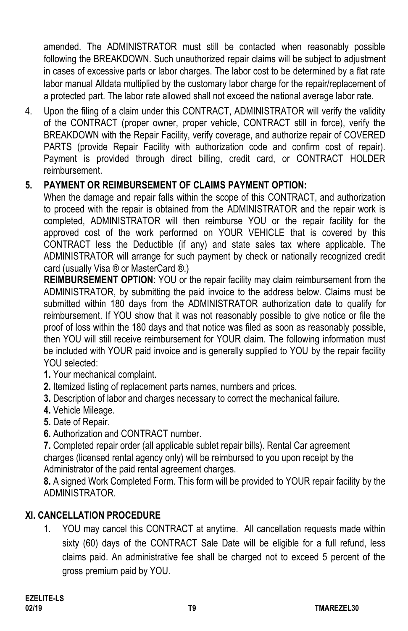amended. The ADMINISTRATOR must still be contacted when reasonably possible following the BREAKDOWN. Such unauthorized repair claims will be subject to adjustment in cases of excessive parts or labor charges. The labor cost to be determined by a flat rate labor manual Alldata multiplied by the customary labor charge for the repair/replacement of a protected part. The labor rate allowed shall not exceed the national average labor rate.

4. Upon the filing of a claim under this CONTRACT, ADMINISTRATOR will verify the validity of the CONTRACT (proper owner, proper vehicle, CONTRACT still in force), verify the BREAKDOWN with the Repair Facility, verify coverage, and authorize repair of COVERED PARTS (provide Repair Facility with authorization code and confirm cost of repair). Payment is provided through direct billing, credit card, or CONTRACT HOLDER reimbursement.

# **5. PAYMENT OR REIMBURSEMENT OF CLAIMS PAYMENT OPTION:**

When the damage and repair falls within the scope of this CONTRACT, and authorization to proceed with the repair is obtained from the ADMINISTRATOR and the repair work is completed, ADMINISTRATOR will then reimburse YOU or the repair facility for the approved cost of the work performed on YOUR VEHICLE that is covered by this CONTRACT less the Deductible (if any) and state sales tax where applicable. The ADMINISTRATOR will arrange for such payment by check or nationally recognized credit card (usually Visa ® or MasterCard ®.)

**REIMBURSEMENT OPTION**: YOU or the repair facility may claim reimbursement from the ADMINISTRATOR, by submitting the paid invoice to the address below. Claims must be submitted within 180 days from the ADMINISTRATOR authorization date to qualify for reimbursement. If YOU show that it was not reasonably possible to give notice or file the proof of loss within the 180 days and that notice was filed as soon as reasonably possible, then YOU will still receive reimbursement for YOUR claim. The following information must be included with YOUR paid invoice and is generally supplied to YOU by the repair facility YOU selected:

- **1.** Your mechanical complaint.
- **2.** Itemized listing of replacement parts names, numbers and prices.
- **3.** Description of labor and charges necessary to correct the mechanical failure.
- **4.** Vehicle Mileage.
- **5.** Date of Repair.
- **6.** Authorization and CONTRACT number.

**7.** Completed repair order (all applicable sublet repair bills). Rental Car agreement charges (licensed rental agency only) will be reimbursed to you upon receipt by the Administrator of the paid rental agreement charges.

**8.** A signed Work Completed Form. This form will be provided to YOUR repair facility by the ADMINISTRATOR.

# **XI. CANCELLATION PROCEDURE**

1. YOU may cancel this CONTRACT at anytime. All cancellation requests made within sixty (60) days of the CONTRACT Sale Date will be eligible for a full refund, less claims paid. An administrative fee shall be charged not to exceed 5 percent of the gross premium paid by YOU.